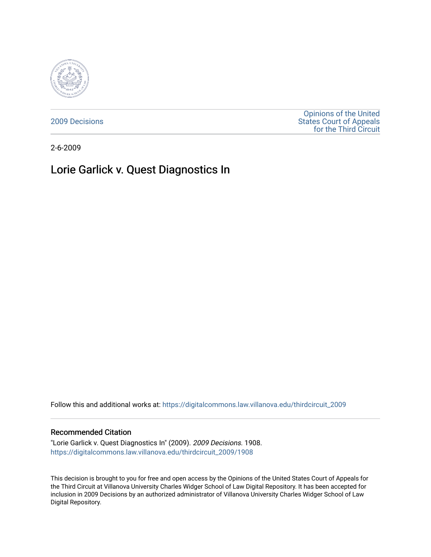

[2009 Decisions](https://digitalcommons.law.villanova.edu/thirdcircuit_2009)

[Opinions of the United](https://digitalcommons.law.villanova.edu/thirdcircuit)  [States Court of Appeals](https://digitalcommons.law.villanova.edu/thirdcircuit)  [for the Third Circuit](https://digitalcommons.law.villanova.edu/thirdcircuit) 

2-6-2009

# Lorie Garlick v. Quest Diagnostics In

Follow this and additional works at: [https://digitalcommons.law.villanova.edu/thirdcircuit\\_2009](https://digitalcommons.law.villanova.edu/thirdcircuit_2009?utm_source=digitalcommons.law.villanova.edu%2Fthirdcircuit_2009%2F1908&utm_medium=PDF&utm_campaign=PDFCoverPages) 

### Recommended Citation

"Lorie Garlick v. Quest Diagnostics In" (2009). 2009 Decisions. 1908. [https://digitalcommons.law.villanova.edu/thirdcircuit\\_2009/1908](https://digitalcommons.law.villanova.edu/thirdcircuit_2009/1908?utm_source=digitalcommons.law.villanova.edu%2Fthirdcircuit_2009%2F1908&utm_medium=PDF&utm_campaign=PDFCoverPages) 

This decision is brought to you for free and open access by the Opinions of the United States Court of Appeals for the Third Circuit at Villanova University Charles Widger School of Law Digital Repository. It has been accepted for inclusion in 2009 Decisions by an authorized administrator of Villanova University Charles Widger School of Law Digital Repository.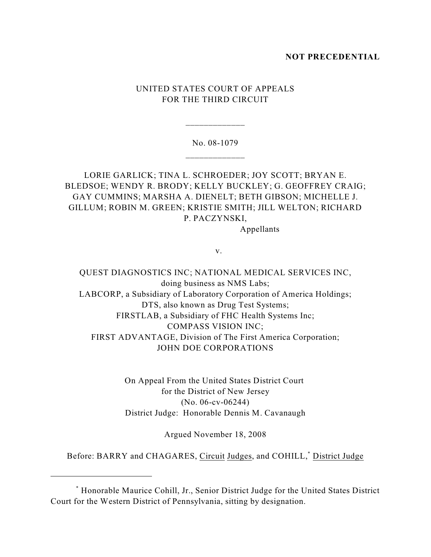### **NOT PRECEDENTIAL**

# UNITED STATES COURT OF APPEALS FOR THE THIRD CIRCUIT

# No. 08-1079 \_\_\_\_\_\_\_\_\_\_\_\_\_

\_\_\_\_\_\_\_\_\_\_\_\_\_

# LORIE GARLICK; TINA L. SCHROEDER; JOY SCOTT; BRYAN E. BLEDSOE; WENDY R. BRODY; KELLY BUCKLEY; G. GEOFFREY CRAIG; GAY CUMMINS; MARSHA A. DIENELT; BETH GIBSON; MICHELLE J. GILLUM; ROBIN M. GREEN; KRISTIE SMITH; JILL WELTON; RICHARD P. PACZYNSKI,

Appellants

v.

QUEST DIAGNOSTICS INC; NATIONAL MEDICAL SERVICES INC, doing business as NMS Labs; LABCORP, a Subsidiary of Laboratory Corporation of America Holdings; DTS, also known as Drug Test Systems; FIRSTLAB, a Subsidiary of FHC Health Systems Inc; COMPASS VISION INC; FIRST ADVANTAGE, Division of The First America Corporation; JOHN DOE CORPORATIONS

> On Appeal From the United States District Court for the District of New Jersey (No. 06-cv-06244) District Judge: Honorable Dennis M. Cavanaugh

> > Argued November 18, 2008

Before: BARRY and CHAGARES, Circuit Judges, and COHILL,<sup>\*</sup> District Judge

Honorable Maurice Cohill, Jr., Senior District Judge for the United States District \* Court for the Western District of Pennsylvania, sitting by designation.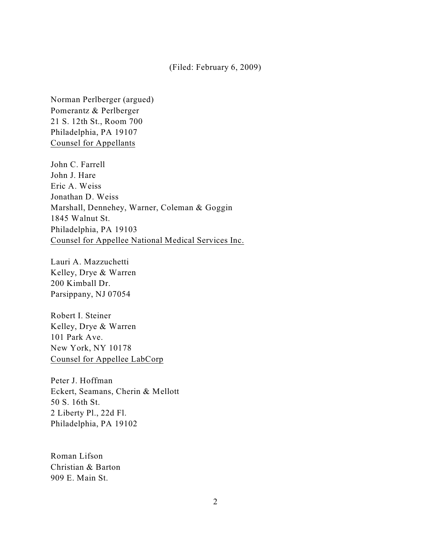### (Filed: February 6, 2009)

Norman Perlberger (argued) Pomerantz & Perlberger 21 S. 12th St., Room 700 Philadelphia, PA 19107 Counsel for Appellants

John C. Farrell John J. Hare Eric A. Weiss Jonathan D. Weiss Marshall, Dennehey, Warner, Coleman & Goggin 1845 Walnut St. Philadelphia, PA 19103 Counsel for Appellee National Medical Services Inc.

Lauri A. Mazzuchetti Kelley, Drye & Warren 200 Kimball Dr. Parsippany, NJ 07054

Robert I. Steiner Kelley, Drye & Warren 101 Park Ave. New York, NY 10178 Counsel for Appellee LabCorp

Peter J. Hoffman Eckert, Seamans, Cherin & Mellott 50 S. 16th St. 2 Liberty Pl., 22d Fl. Philadelphia, PA 19102

Roman Lifson Christian & Barton 909 E. Main St.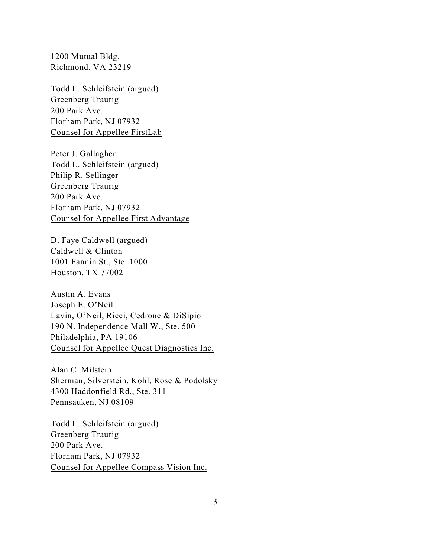1200 Mutual Bldg. Richmond, VA 23219

Todd L. Schleifstein (argued) Greenberg Traurig 200 Park Ave. Florham Park, NJ 07932 Counsel for Appellee FirstLab

Peter J. Gallagher Todd L. Schleifstein (argued) Philip R. Sellinger Greenberg Traurig 200 Park Ave. Florham Park, NJ 07932 Counsel for Appellee First Advantage

D. Faye Caldwell (argued) Caldwell & Clinton 1001 Fannin St., Ste. 1000 Houston, TX 77002

Austin A. Evans Joseph E. O'Neil Lavin, O'Neil, Ricci, Cedrone & DiSipio 190 N. Independence Mall W., Ste. 500 Philadelphia, PA 19106 Counsel for Appellee Quest Diagnostics Inc.

Alan C. Milstein Sherman, Silverstein, Kohl, Rose & Podolsky 4300 Haddonfield Rd., Ste. 311 Pennsauken, NJ 08109

Todd L. Schleifstein (argued) Greenberg Traurig 200 Park Ave. Florham Park, NJ 07932 Counsel for Appellee Compass Vision Inc.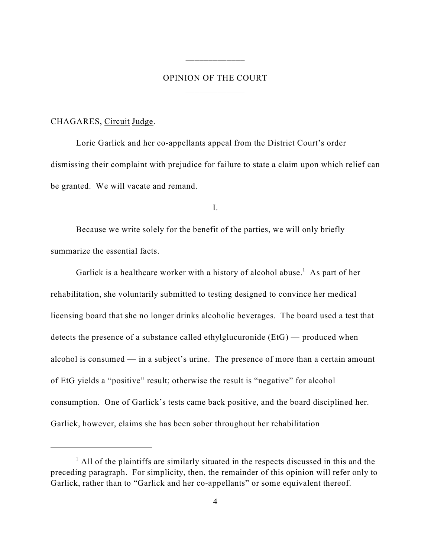# OPINION OF THE COURT \_\_\_\_\_\_\_\_\_\_\_\_\_

\_\_\_\_\_\_\_\_\_\_\_\_\_

### CHAGARES, Circuit Judge.

Lorie Garlick and her co-appellants appeal from the District Court's order dismissing their complaint with prejudice for failure to state a claim upon which relief can be granted. We will vacate and remand.

I.

Because we write solely for the benefit of the parties, we will only briefly summarize the essential facts.

Garlick is a healthcare worker with a history of alcohol abuse.<sup>1</sup> As part of her rehabilitation, she voluntarily submitted to testing designed to convince her medical licensing board that she no longer drinks alcoholic beverages. The board used a test that detects the presence of a substance called ethylglucuronide (EtG) — produced when alcohol is consumed — in a subject's urine. The presence of more than a certain amount of EtG yields a "positive" result; otherwise the result is "negative" for alcohol consumption. One of Garlick's tests came back positive, and the board disciplined her. Garlick, however, claims she has been sober throughout her rehabilitation

 $<sup>1</sup>$  All of the plaintiffs are similarly situated in the respects discussed in this and the</sup> preceding paragraph. For simplicity, then, the remainder of this opinion will refer only to Garlick, rather than to "Garlick and her co-appellants" or some equivalent thereof.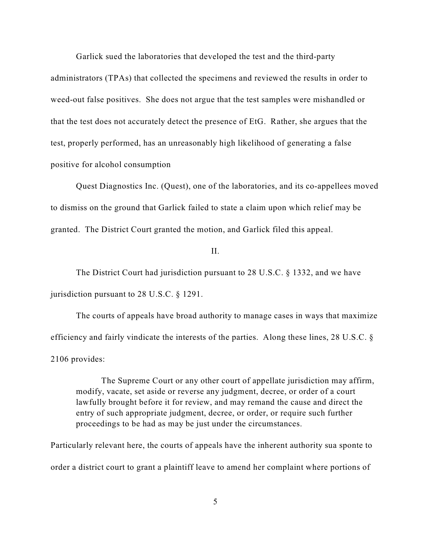Garlick sued the laboratories that developed the test and the third-party

administrators (TPAs) that collected the specimens and reviewed the results in order to weed-out false positives. She does not argue that the test samples were mishandled or that the test does not accurately detect the presence of EtG. Rather, she argues that the test, properly performed, has an unreasonably high likelihood of generating a false positive for alcohol consumption

Quest Diagnostics Inc. (Quest), one of the laboratories, and its co-appellees moved to dismiss on the ground that Garlick failed to state a claim upon which relief may be granted. The District Court granted the motion, and Garlick filed this appeal.

II.

The District Court had jurisdiction pursuant to 28 U.S.C. § 1332, and we have jurisdiction pursuant to 28 U.S.C. § 1291.

The courts of appeals have broad authority to manage cases in ways that maximize efficiency and fairly vindicate the interests of the parties. Along these lines, 28 U.S.C. § 2106 provides:

The Supreme Court or any other court of appellate jurisdiction may affirm, modify, vacate, set aside or reverse any judgment, decree, or order of a court lawfully brought before it for review, and may remand the cause and direct the entry of such appropriate judgment, decree, or order, or require such further proceedings to be had as may be just under the circumstances.

Particularly relevant here, the courts of appeals have the inherent authority sua sponte to order a district court to grant a plaintiff leave to amend her complaint where portions of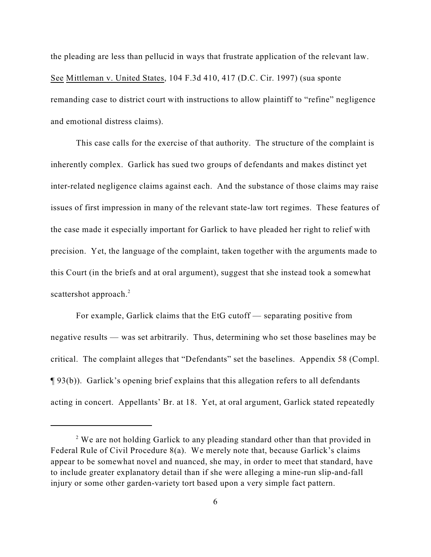the pleading are less than pellucid in ways that frustrate application of the relevant law. See Mittleman v. United States, 104 F.3d 410, 417 (D.C. Cir. 1997) (sua sponte remanding case to district court with instructions to allow plaintiff to "refine" negligence and emotional distress claims).

This case calls for the exercise of that authority. The structure of the complaint is inherently complex. Garlick has sued two groups of defendants and makes distinct yet inter-related negligence claims against each. And the substance of those claims may raise issues of first impression in many of the relevant state-law tort regimes. These features of the case made it especially important for Garlick to have pleaded her right to relief with precision. Yet, the language of the complaint, taken together with the arguments made to this Court (in the briefs and at oral argument), suggest that she instead took a somewhat scattershot approach.<sup>2</sup>

For example, Garlick claims that the EtG cutoff — separating positive from negative results — was set arbitrarily. Thus, determining who set those baselines may be critical. The complaint alleges that "Defendants" set the baselines. Appendix 58 (Compl. ¶ 93(b)). Garlick's opening brief explains that this allegation refers to all defendants acting in concert. Appellants' Br. at 18. Yet, at oral argument, Garlick stated repeatedly

<sup>&</sup>lt;sup>2</sup> We are not holding Garlick to any pleading standard other than that provided in Federal Rule of Civil Procedure 8(a). We merely note that, because Garlick's claims appear to be somewhat novel and nuanced, she may, in order to meet that standard, have to include greater explanatory detail than if she were alleging a mine-run slip-and-fall injury or some other garden-variety tort based upon a very simple fact pattern.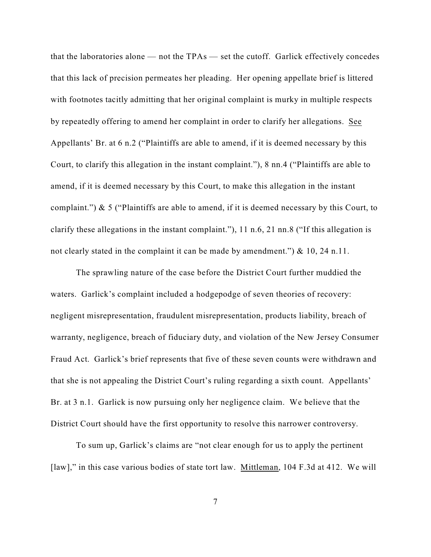that the laboratories alone — not the TPAs — set the cutoff. Garlick effectively concedes that this lack of precision permeates her pleading. Her opening appellate brief is littered with footnotes tacitly admitting that her original complaint is murky in multiple respects by repeatedly offering to amend her complaint in order to clarify her allegations. See Appellants' Br. at 6 n.2 ("Plaintiffs are able to amend, if it is deemed necessary by this Court, to clarify this allegation in the instant complaint."), 8 nn.4 ("Plaintiffs are able to amend, if it is deemed necessary by this Court, to make this allegation in the instant complaint.") & 5 ("Plaintiffs are able to amend, if it is deemed necessary by this Court, to clarify these allegations in the instant complaint."), 11 n.6, 21 nn.8 ("If this allegation is not clearly stated in the complaint it can be made by amendment.") & 10, 24 n.11.

The sprawling nature of the case before the District Court further muddied the waters. Garlick's complaint included a hodgepodge of seven theories of recovery: negligent misrepresentation, fraudulent misrepresentation, products liability, breach of warranty, negligence, breach of fiduciary duty, and violation of the New Jersey Consumer Fraud Act. Garlick's brief represents that five of these seven counts were withdrawn and that she is not appealing the District Court's ruling regarding a sixth count. Appellants' Br. at 3 n.1. Garlick is now pursuing only her negligence claim. We believe that the District Court should have the first opportunity to resolve this narrower controversy.

To sum up, Garlick's claims are "not clear enough for us to apply the pertinent [law]," in this case various bodies of state tort law. Mittleman, 104 F.3d at 412. We will